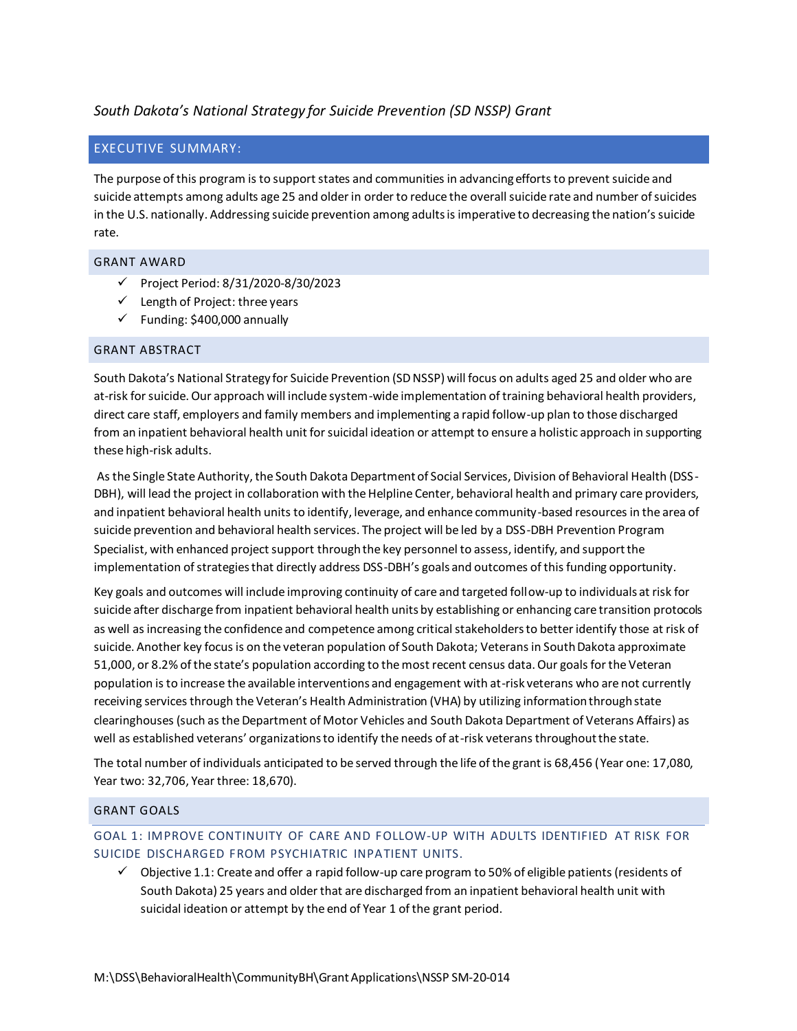# *South Dakota's National Strategy for Suicide Prevention (SD NSSP) Grant*

### EXECUTIVE SUMMARY:

The purpose of this program is to support states and communities in advancing efforts to prevent suicide and suicide attempts among adults age 25 and older in order to reduce the overall suicide rate and number of suicides in the U.S. nationally. Addressing suicide prevention among adults is imperative to decreasing the nation's suicide rate.

### GRANT AWARD

- ✓ Project Period: 8/31/2020-8/30/2023
- $\checkmark$  Length of Project: three years
- $\checkmark$  Funding: \$400,000 annually

#### GRANT ABSTRACT

South Dakota's National Strategy for Suicide Prevention (SD NSSP) will focus on adults aged 25 and older who are at-risk for suicide. Our approach will include system-wide implementation of training behavioral health providers, direct care staff, employers and family members and implementing a rapid follow-up plan to those discharged from an inpatient behavioral health unit for suicidal ideation or attempt to ensure a holistic approach in supporting these high-risk adults.

As the Single State Authority, the South Dakota Department of Social Services, Division of Behavioral Health (DSS-DBH), will lead the project in collaboration with the Helpline Center, behavioral health and primary care providers, and inpatient behavioral health units to identify, leverage, and enhance community-based resources in the area of suicide prevention and behavioral health services. The project will be led by a DSS-DBH Prevention Program Specialist, with enhanced project support through the key personnel to assess, identify, and support the implementation of strategies that directly address DSS-DBH's goals and outcomes of this funding opportunity.

Key goals and outcomes will include improving continuity of care and targeted follow-up to individuals at risk for suicide after discharge from inpatient behavioral health units by establishing or enhancing care transition protocols as well as increasing the confidence and competence among critical stakeholders to better identify those at risk of suicide. Another key focus is on the veteran population of South Dakota; Veterans in South Dakota approximate 51,000, or 8.2% of the state's population according to the most recent census data. Our goals for the Veteran population is to increase the available interventions and engagement with at-risk veterans who are not currently receiving services through the Veteran's Health Administration (VHA) by utilizing information through state clearinghouses (such as the Department of Motor Vehicles and South Dakota Department of Veterans Affairs) as well as established veterans' organizations to identify the needs of at-risk veterans throughout the state.

The total number of individuals anticipated to be served through the life of the grant is 68,456 (Year one: 17,080, Year two: 32,706, Year three: 18,670).

#### GRANT GOALS

### GOAL 1: IMPROVE CONTINUITY OF CARE AND FOLLOW-UP WITH ADULTS IDENTIFIED AT RISK FOR SUICIDE DISCHARGED FROM PSYCHIATRIC INPATIENT UNITS.

 $\checkmark$  Objective 1.1: Create and offer a rapid follow-up care program to 50% of eligible patients (residents of South Dakota) 25 years and older that are discharged from an inpatient behavioral health unit with suicidal ideation or attempt by the end of Year 1 of the grant period.